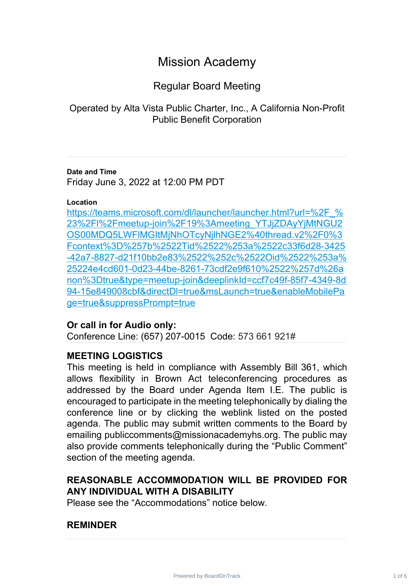# Mission Academy

## Regular Board Meeting

Operated by Alta Vista Public Charter, Inc., A California Non-Profit Public Benefit Corporation

### **Date and Time**

Friday June 3, 2022 at 12:00 PM PDT

### **Location**

[https://teams.microsoft.com/dl/launcher/launcher.html?url=%2F\\_%](https://teams.microsoft.com/dl/launcher/launcher.html?url=%2F_%23%2Fl%2Fmeetup-join%2F19%3Ameeting_YTJjZDAyYjMtNGU2OS00MDQ5LWFlMGItMjNhOTcyNjlhNGE2%40thread.v2%2F0%3Fcontext%3D%257b%2522Tid%2522%253a%2522c33f6d28-3425-42a7-8827-d21f10bb2e83%2522%252c%2522Oid%2522%253a%25224e4cd601-0d23-44be-8261-73cdf2e9f610%2522%257d%26anon%3Dtrue&type=meetup-join&deeplinkId=ccf7c49f-85f7-4349-8d94-15e849008cbf&directDl=true&msLaunch=true&enableMobilePage=true&suppressPrompt=true) 23%2Fl%2Fmeetup-join%2F19%3Ameeting\_YTJjZDAyYjMtNGU2 [OS00MDQ5LWFlMGItMjNhOTcyNjlhNGE2%40thread.v2%2F0%3](https://teams.microsoft.com/dl/launcher/launcher.html?url=%2F_%23%2Fl%2Fmeetup-join%2F19%3Ameeting_YTJjZDAyYjMtNGU2OS00MDQ5LWFlMGItMjNhOTcyNjlhNGE2%40thread.v2%2F0%3Fcontext%3D%257b%2522Tid%2522%253a%2522c33f6d28-3425-42a7-8827-d21f10bb2e83%2522%252c%2522Oid%2522%253a%25224e4cd601-0d23-44be-8261-73cdf2e9f610%2522%257d%26anon%3Dtrue&type=meetup-join&deeplinkId=ccf7c49f-85f7-4349-8d94-15e849008cbf&directDl=true&msLaunch=true&enableMobilePage=true&suppressPrompt=true) Fcontext%3D%257b%2522Tid%2522%253a%2522c33f6d28-3425 [-42a7-8827-d21f10bb2e83%2522%252c%2522Oid%2522%253a%](https://teams.microsoft.com/dl/launcher/launcher.html?url=%2F_%23%2Fl%2Fmeetup-join%2F19%3Ameeting_YTJjZDAyYjMtNGU2OS00MDQ5LWFlMGItMjNhOTcyNjlhNGE2%40thread.v2%2F0%3Fcontext%3D%257b%2522Tid%2522%253a%2522c33f6d28-3425-42a7-8827-d21f10bb2e83%2522%252c%2522Oid%2522%253a%25224e4cd601-0d23-44be-8261-73cdf2e9f610%2522%257d%26anon%3Dtrue&type=meetup-join&deeplinkId=ccf7c49f-85f7-4349-8d94-15e849008cbf&directDl=true&msLaunch=true&enableMobilePage=true&suppressPrompt=true) 25224e4cd601-0d23-44be-8261-73cdf2e9f610%2522%257d%26a [non%3Dtrue&type=meetup-join&deeplinkId=ccf7c49f-85f7-4349-8d](https://teams.microsoft.com/dl/launcher/launcher.html?url=%2F_%23%2Fl%2Fmeetup-join%2F19%3Ameeting_YTJjZDAyYjMtNGU2OS00MDQ5LWFlMGItMjNhOTcyNjlhNGE2%40thread.v2%2F0%3Fcontext%3D%257b%2522Tid%2522%253a%2522c33f6d28-3425-42a7-8827-d21f10bb2e83%2522%252c%2522Oid%2522%253a%25224e4cd601-0d23-44be-8261-73cdf2e9f610%2522%257d%26anon%3Dtrue&type=meetup-join&deeplinkId=ccf7c49f-85f7-4349-8d94-15e849008cbf&directDl=true&msLaunch=true&enableMobilePage=true&suppressPrompt=true) 94-15e849008cbf&directDl=true&msLaunch=true&enableMobilePa [ge=true&suppressPrompt=true](https://teams.microsoft.com/dl/launcher/launcher.html?url=%2F_%23%2Fl%2Fmeetup-join%2F19%3Ameeting_YTJjZDAyYjMtNGU2OS00MDQ5LWFlMGItMjNhOTcyNjlhNGE2%40thread.v2%2F0%3Fcontext%3D%257b%2522Tid%2522%253a%2522c33f6d28-3425-42a7-8827-d21f10bb2e83%2522%252c%2522Oid%2522%253a%25224e4cd601-0d23-44be-8261-73cdf2e9f610%2522%257d%26anon%3Dtrue&type=meetup-join&deeplinkId=ccf7c49f-85f7-4349-8d94-15e849008cbf&directDl=true&msLaunch=true&enableMobilePage=true&suppressPrompt=true)

### **Or call in for Audio only:**

Conference Line: (657) 207-0015 Code: 573 661 921#

### **MEETING LOGISTICS**

This meeting is held in compliance with Assembly Bill 361, which allows flexibility in Brown Act teleconferencing procedures as addressed by the Board under Agenda Item I.E. The public is encouraged to participate in the meeting telephonically by dialing the conference line or by clicking the weblink listed on the posted agenda. The public may submit written comments to the Board by emailing publiccomments@missionacademyhs.org. The public may also provide comments telephonically during the "Public Comment" section of the meeting agenda.

### **REASONABLE ACCOMMODATION WILL BE PROVIDED FOR ANY INDIVIDUAL WITH A DISABILITY**

Please see the "Accommodations" notice below.

### **REMINDER**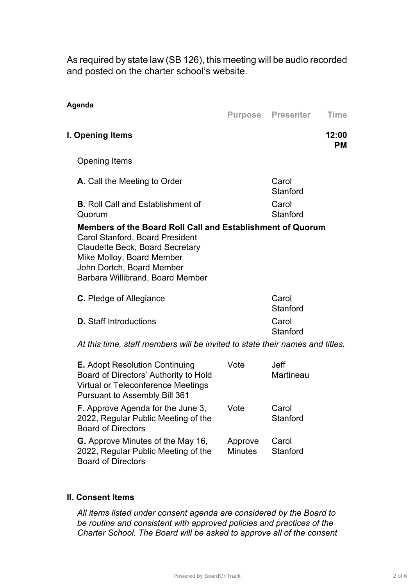As required by state law (SB 126), this meeting will be audio recorded and posted on the charter school's website.

| Agenda                                                                                                                                                                                                                                       |      | <b>Purpose Presenter</b> | <b>Time</b>        |
|----------------------------------------------------------------------------------------------------------------------------------------------------------------------------------------------------------------------------------------------|------|--------------------------|--------------------|
| I. Opening Items                                                                                                                                                                                                                             |      |                          | 12:00<br><b>PM</b> |
| <b>Opening Items</b>                                                                                                                                                                                                                         |      |                          |                    |
| <b>A.</b> Call the Meeting to Order                                                                                                                                                                                                          |      | Carol<br>Stanford        |                    |
| <b>B.</b> Roll Call and Establishment of<br>Quorum                                                                                                                                                                                           |      | Carol<br>Stanford        |                    |
| Members of the Board Roll Call and Establishment of Quorum<br><b>Carol Stanford, Board President</b><br><b>Claudette Beck, Board Secretary</b><br>Mike Molloy, Board Member<br>John Dortch, Board Member<br>Barbara Willibrand, Board Member |      |                          |                    |
| <b>C.</b> Pledge of Allegiance                                                                                                                                                                                                               |      | Carol<br>Stanford        |                    |
| <b>D.</b> Staff Introductions                                                                                                                                                                                                                |      | Carol<br>Stanford        |                    |
| At this time, staff members will be invited to state their names and titles.                                                                                                                                                                 |      |                          |                    |
| <b>E.</b> Adopt Resolution Continuing<br>Board of Directors' Authority to Hold                                                                                                                                                               | Vote | Jeff<br>Martineau        |                    |

| <b>G.</b> Approve Minutes of the May 16, | Approve Carol    |  |
|------------------------------------------|------------------|--|
| 2022, Regular Public Meeting of the      | Minutes Stanford |  |
| <b>Board of Directors</b>                |                  |  |
|                                          |                  |  |

Virtual or Teleconference Meetings

**F.** Approve Agenda for the June 3, 2022, Regular Public Meeting of the

Pursuant to Assembly Bill 361

#### **II. Consent Items**

Board of Directors

*All items listed under consent agenda are considered by the Board to be routine and consistent with approved policies and practices of the Charter School. The Board will be asked to approve all of the consent*

Vote Carol

**Stanford**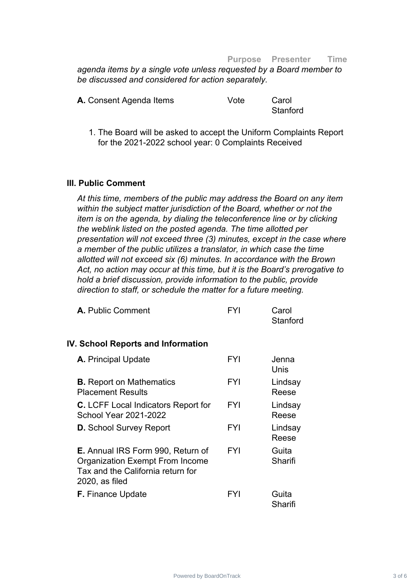#### **Purpose Presenter Time**

*agenda items by a single vote unless requested by a Board member to be discussed and considered for action separately.*

| A. Consent Agenda Items | Vote | Carol    |
|-------------------------|------|----------|
|                         |      | Stanford |

1. The Board will be asked to accept the Uniform Complaints Report for the 2021-2022 school year: 0 Complaints Received

#### **III. Public Comment**

*At this time, members of the public may address the Board on any item within the subject matter jurisdiction of the Board, whether or not the item is on the agenda, by dialing the teleconference line or by clicking the weblink listed on the posted agenda. The time allotted per presentation will not exceed three (3) minutes, except in the case where a member of the public utilizes a translator, in which case the time allotted will not exceed six (6) minutes. In accordance with the Brown Act, no action may occur at this time, but it is the Board's prerogative to hold a brief discussion, provide information to the public, provide direction to staff, or schedule the matter for a future meeting.*

| <b>A.</b> Public Comment                                                                                                                  | FYI        | Carol<br>Stanford |
|-------------------------------------------------------------------------------------------------------------------------------------------|------------|-------------------|
| IV. School Reports and Information                                                                                                        |            |                   |
| A. Principal Update                                                                                                                       | <b>FYI</b> | Jenna<br>Unis     |
| <b>B.</b> Report on Mathematics<br><b>Placement Results</b>                                                                               | <b>FYI</b> | Lindsay<br>Reese  |
| <b>C.</b> LCFF Local Indicators Report for<br><b>School Year 2021-2022</b>                                                                | <b>FYI</b> | Lindsay<br>Reese  |
| <b>D.</b> School Survey Report                                                                                                            | <b>FYI</b> | Lindsay<br>Reese  |
| <b>E.</b> Annual IRS Form 990, Return of<br><b>Organization Exempt From Income</b><br>Tax and the California return for<br>2020, as filed | <b>FYI</b> | Guita<br>Sharifi  |
| <b>F.</b> Finance Update                                                                                                                  | FYI        | Guita<br>Sharifi  |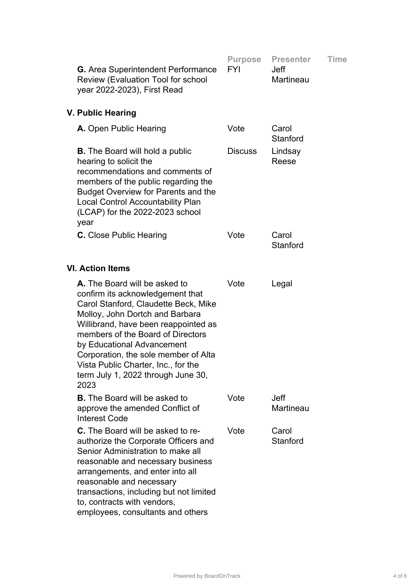| <b>G.</b> Area Superintendent Performance<br><b>Review (Evaluation Tool for school</b><br>year 2022-2023), First Read                                                                                                                                                                                                                                                                | <b>Purpose</b><br><b>FYI</b> | <b>Presenter</b><br><b>Jeff</b><br>Martineau | <b>Time</b> |
|--------------------------------------------------------------------------------------------------------------------------------------------------------------------------------------------------------------------------------------------------------------------------------------------------------------------------------------------------------------------------------------|------------------------------|----------------------------------------------|-------------|
| V. Public Hearing                                                                                                                                                                                                                                                                                                                                                                    |                              |                                              |             |
| A. Open Public Hearing                                                                                                                                                                                                                                                                                                                                                               | Vote                         | Carol<br>Stanford                            |             |
| <b>B.</b> The Board will hold a public<br>hearing to solicit the<br>recommendations and comments of<br>members of the public regarding the<br><b>Budget Overview for Parents and the</b><br><b>Local Control Accountability Plan</b><br>(LCAP) for the 2022-2023 school<br>year                                                                                                      | <b>Discuss</b>               | Lindsay<br>Reese                             |             |
| <b>C.</b> Close Public Hearing                                                                                                                                                                                                                                                                                                                                                       | Vote                         | Carol<br>Stanford                            |             |
| <b>VI. Action Items</b>                                                                                                                                                                                                                                                                                                                                                              |                              |                                              |             |
| A. The Board will be asked to<br>confirm its acknowledgement that<br>Carol Stanford, Claudette Beck, Mike<br>Molloy, John Dortch and Barbara<br>Willibrand, have been reappointed as<br>members of the Board of Directors<br>by Educational Advancement<br>Corporation, the sole member of Alta<br>Vista Public Charter, Inc., for the<br>term July 1, 2022 through June 30,<br>2023 | Vote                         | Legal                                        |             |
| <b>B.</b> The Board will be asked to<br>approve the amended Conflict of<br><b>Interest Code</b>                                                                                                                                                                                                                                                                                      | Vote                         | <b>Jeff</b><br><b>Martineau</b>              |             |
| <b>C.</b> The Board will be asked to re-<br>authorize the Corporate Officers and<br>Senior Administration to make all<br>reasonable and necessary business<br>arrangements, and enter into all<br>reasonable and necessary<br>transactions, including but not limited<br>to, contracts with vendors,<br>employees, consultants and others                                            | Vote                         | Carol<br>Stanford                            |             |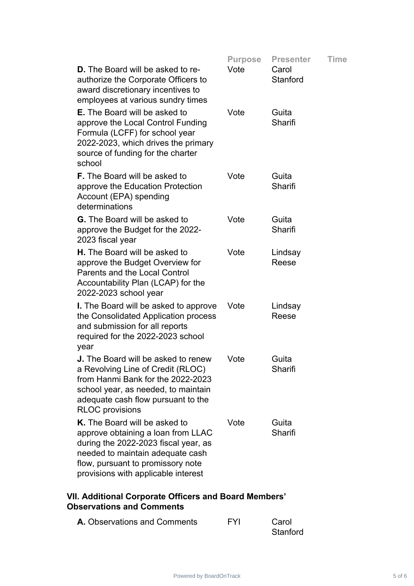|                                                                                                                                                                                                                             | <b>Purpose</b> | <b>Presenter</b>  | <b>Time</b> |
|-----------------------------------------------------------------------------------------------------------------------------------------------------------------------------------------------------------------------------|----------------|-------------------|-------------|
| <b>D.</b> The Board will be asked to re-<br>authorize the Corporate Officers to<br>award discretionary incentives to<br>employees at various sundry times                                                                   | Vote           | Carol<br>Stanford |             |
| <b>E.</b> The Board will be asked to<br>approve the Local Control Funding<br>Formula (LCFF) for school year<br>2022-2023, which drives the primary<br>source of funding for the charter<br>school                           | Vote           | Guita<br>Sharifi  |             |
| <b>F.</b> The Board will be asked to<br>approve the Education Protection<br>Account (EPA) spending<br>determinations                                                                                                        | Vote           | Guita<br>Sharifi  |             |
| <b>G.</b> The Board will be asked to<br>approve the Budget for the 2022-<br>2023 fiscal year                                                                                                                                | Vote           | Guita<br>Sharifi  |             |
| <b>H.</b> The Board will be asked to<br>approve the Budget Overview for<br><b>Parents and the Local Control</b><br>Accountability Plan (LCAP) for the<br>2022-2023 school year                                              | Vote           | Lindsay<br>Reese  |             |
| I. The Board will be asked to approve<br>the Consolidated Application process<br>and submission for all reports<br>required for the 2022-2023 school<br>year                                                                | Vote           | Lindsay<br>Reese  |             |
| <b>J.</b> The Board will be asked to renew<br>a Revolving Line of Credit (RLOC)<br>from Hanmi Bank for the 2022-2023<br>school year, as needed, to maintain<br>adequate cash flow pursuant to the<br><b>RLOC</b> provisions | Vote           | Guita<br>Sharifi  |             |
| K. The Board will be asked to<br>approve obtaining a loan from LLAC<br>during the 2022-2023 fiscal year, as<br>needed to maintain adequate cash<br>flow, pursuant to promissory note<br>provisions with applicable interest | Vote           | Guita<br>Sharifi  |             |
|                                                                                                                                                                                                                             |                |                   |             |

### **VII. Additional Corporate Officers and Board Members' Observations and Comments**

| <b>A.</b> Observations and Comments | <b>FYI</b> | Carol    |
|-------------------------------------|------------|----------|
|                                     |            | Stanford |